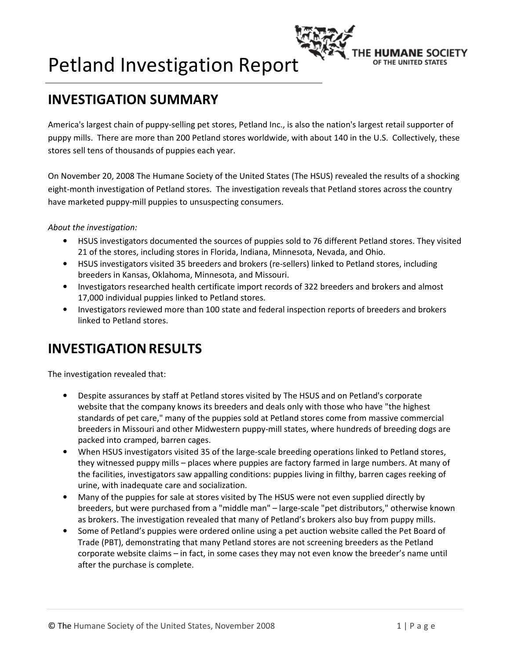

America's largest chain of puppy-selling pet stores, Petland Inc., is also the nation's largest retail supporter of puppy mills. There are more than 200 Petland stores worldwide, with about 140 in the U.S. Collectively, these stores sell tens of thousands of puppies each year.

On November 20, 2008 The Humane Society of the United States (The HSUS) revealed the results of a shocking eight-month investigation of Petland stores. The investigation reveals that Petland stores across the country have marketed puppy-mill puppies to unsuspecting consumers.

About the investigation:

- HSUS investigators documented the sources of puppies sold to 76 different Petland stores. They visited 21 of the stores, including stores in Florida, Indiana, Minnesota, Nevada, and Ohio.
- HSUS investigators visited 35 breeders and brokers (re-sellers) linked to Petland stores, including breeders in Kansas, Oklahoma, Minnesota, and Missouri.
- Investigators researched health certificate import records of 322 breeders and brokers and almost 17,000 individual puppies linked to Petland stores.
- Investigators reviewed more than 100 state and federal inspection reports of breeders and brokers linked to Petland stores.

#### **INVESTIGATION RESULTS**

The investigation revealed that:

- Despite assurances by staff at Petland stores visited by The HSUS and on Petland's corporate website that the company knows its breeders and deals only with those who have "the highest standards of pet care," many of the puppies sold at Petland stores come from massive commercial breeders in Missouri and other Midwestern puppy-mill states, where hundreds of breeding dogs are packed into cramped, barren cages.
- When HSUS investigators visited 35 of the large-scale breeding operations linked to Petland stores, they witnessed puppy mills – places where puppies are factory farmed in large numbers. At many of the facilities, investigators saw appalling conditions: puppies living in filthy, barren cages reeking of urine, with inadequate care and socialization.
- Many of the puppies for sale at stores visited by The HSUS were not even supplied directly by breeders, but were purchased from a "middle man" – large-scale "pet distributors," otherwise known as brokers. The investigation revealed that many of Petland's brokers also buy from puppy mills.
- Some of Petland's puppies were ordered online using a pet auction website called the Pet Board of Trade (PBT), demonstrating that many Petland stores are not screening breeders as the Petland corporate website claims – in fact, in some cases they may not even know the breeder's name until after the purchase is complete.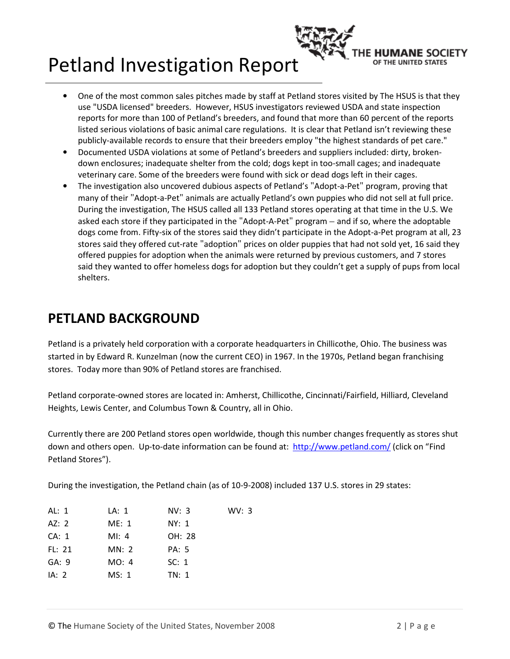- One of the most common sales pitches made by staff at Petland stores visited by The HSUS is that they use "USDA licensed" breeders. However, HSUS investigators reviewed USDA and state inspection reports for more than 100 of Petland's breeders, and found that more than 60 percent of the reports listed serious violations of basic animal care regulations. It is clear that Petland isn't reviewing these publicly-available records to ensure that their breeders employ "the highest standards of pet care."
- Documented USDA violations at some of Petland's breeders and suppliers included: dirty, brokendown enclosures; inadequate shelter from the cold; dogs kept in too-small cages; and inadequate veterinary care. Some of the breeders were found with sick or dead dogs left in their cages.
- The investigation also uncovered dubious aspects of Petland's "Adopt-a-Pet" program, proving that many of their "Adopt-a-Pet" animals are actually Petland's own puppies who did not sell at full price. During the investigation, The HSUS called all 133 Petland stores operating at that time in the U.S. We asked each store if they participated in the "Adopt-A-Pet" program – and if so, where the adoptable dogs come from. Fifty-six of the stores said they didn't participate in the Adopt-a-Pet program at all, 23 stores said they offered cut-rate "adoption" prices on older puppies that had not sold yet, 16 said they offered puppies for adoption when the animals were returned by previous customers, and 7 stores said they wanted to offer homeless dogs for adoption but they couldn't get a supply of pups from local shelters.

#### PETLAND BACKGROUND

Petland is a privately held corporation with a corporate headquarters in Chillicothe, Ohio. The business was started in by Edward R. Kunzelman (now the current CEO) in 1967. In the 1970s, Petland began franchising stores. Today more than 90% of Petland stores are franchised.

Petland corporate-owned stores are located in: Amherst, Chillicothe, Cincinnati/Fairfield, Hilliard, Cleveland Heights, Lewis Center, and Columbus Town & Country, all in Ohio.

Currently there are 200 Petland stores open worldwide, though this number changes frequently as stores shut down and others open. Up-to-date information can be found at: http://www.petland.com/ (click on "Find Petland Stores").

During the investigation, the Petland chain (as of 10-9-2008) included 137 U.S. stores in 29 states:

| AL: $1$ | LA: 1   | N <sub>V</sub> : 3 | WV: 3 |
|---------|---------|--------------------|-------|
| AZ: $2$ | ME: 1   | NY: 1              |       |
| CA: 1   | MI: $4$ | OH: 28             |       |
| FL: 21  | MN: 2   | <b>PA: 5</b>       |       |
| GA: 9   | MO: 4   | SC: 1              |       |
| IA: 2   | MS: 1   | TN: 1              |       |
|         |         |                    |       |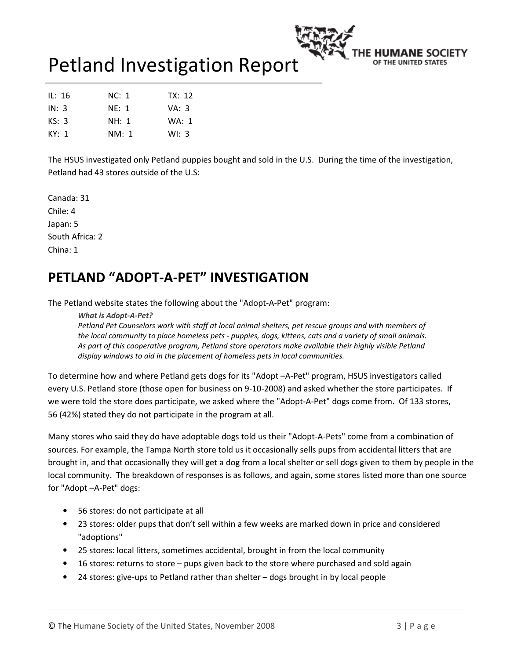

The HSUS investigated only Petland puppies bought and sold in the U.S. During the time of the investigation, Petland had 43 stores outside of the U.S:

Canada: 31 Chile: 4 Japan: 5 South Africa: 2 China: 1

#### PETLAND "ADOPT-A-PET" INVESTIGATION

The Petland website states the following about the "Adopt-A-Pet" program:

What is Adopt-A-Pet?

Petland Pet Counselors work with staff at local animal shelters, pet rescue groups and with members of the local community to place homeless pets - puppies, dogs, kittens, cats and a variety of small animals. As part of this cooperative program, Petland store operators make available their highly visible Petland display windows to aid in the placement of homeless pets in local communities.

To determine how and where Petland gets dogs for its "Adopt –A-Pet" program, HSUS investigators called every U.S. Petland store (those open for business on 9-10-2008) and asked whether the store participates. If we were told the store does participate, we asked where the "Adopt-A-Pet" dogs come from. Of 133 stores, 56 (42%) stated they do not participate in the program at all.

Many stores who said they do have adoptable dogs told us their "Adopt-A-Pets" come from a combination of sources. For example, the Tampa North store told us it occasionally sells pups from accidental litters that are brought in, and that occasionally they will get a dog from a local shelter or sell dogs given to them by people in the local community. The breakdown of responses is as follows, and again, some stores listed more than one source for "Adopt –A-Pet" dogs:

- 56 stores: do not participate at all
- 23 stores: older pups that don't sell within a few weeks are marked down in price and considered "adoptions"
- 25 stores: local litters, sometimes accidental, brought in from the local community
- 16 stores: returns to store pups given back to the store where purchased and sold again
- 24 stores: give-ups to Petland rather than shelter dogs brought in by local people

E HUMANE SOCIETY OF THE UNITED STATES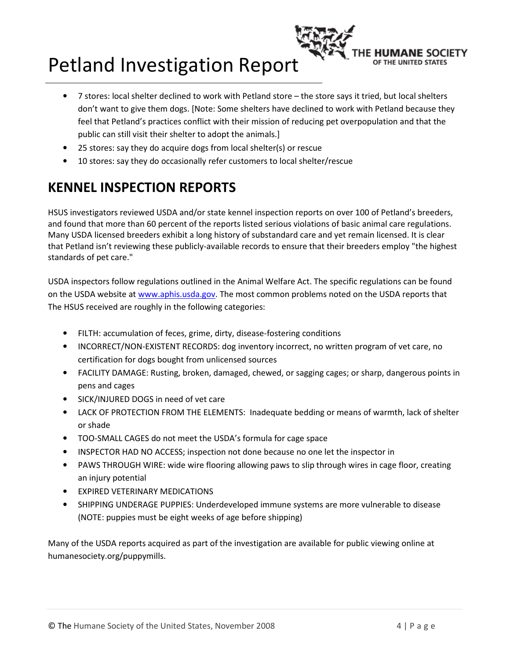- 7 stores: local shelter declined to work with Petland store the store says it tried, but local shelters don't want to give them dogs. [Note: Some shelters have declined to work with Petland because they feel that Petland's practices conflict with their mission of reducing pet overpopulation and that the public can still visit their shelter to adopt the animals.]
- 25 stores: say they do acquire dogs from local shelter(s) or rescue
- 10 stores: say they do occasionally refer customers to local shelter/rescue

#### KENNEL INSPECTION REPORTS

HSUS investigators reviewed USDA and/or state kennel inspection reports on over 100 of Petland's breeders, and found that more than 60 percent of the reports listed serious violations of basic animal care regulations. Many USDA licensed breeders exhibit a long history of substandard care and yet remain licensed. It is clear that Petland isn't reviewing these publicly-available records to ensure that their breeders employ "the highest standards of pet care."

USDA inspectors follow regulations outlined in the Animal Welfare Act. The specific regulations can be found on the USDA website at www.aphis.usda.gov. The most common problems noted on the USDA reports that The HSUS received are roughly in the following categories:

- FILTH: accumulation of feces, grime, dirty, disease-fostering conditions
- INCORRECT/NON-EXISTENT RECORDS: dog inventory incorrect, no written program of vet care, no certification for dogs bought from unlicensed sources
- FACILITY DAMAGE: Rusting, broken, damaged, chewed, or sagging cages; or sharp, dangerous points in pens and cages
- SICK/INJURED DOGS in need of vet care
- LACK OF PROTECTION FROM THE ELEMENTS: Inadequate bedding or means of warmth, lack of shelter or shade
- TOO-SMALL CAGES do not meet the USDA's formula for cage space
- INSPECTOR HAD NO ACCESS; inspection not done because no one let the inspector in
- PAWS THROUGH WIRE: wide wire flooring allowing paws to slip through wires in cage floor, creating an injury potential
- EXPIRED VETERINARY MEDICATIONS
- SHIPPING UNDERAGE PUPPIES: Underdeveloped immune systems are more vulnerable to disease (NOTE: puppies must be eight weeks of age before shipping)

Many of the USDA reports acquired as part of the investigation are available for public viewing online at humanesociety.org/puppymills.